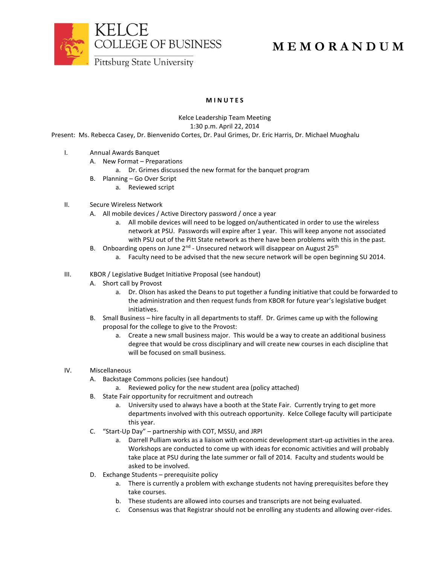



# **M E M O R A N D U M**

Pittsburg State University

# **M I N U T E S**

## Kelce Leadership Team Meeting

1:30 p.m. April 22, 2014

Present: Ms. Rebecca Casey, Dr. Bienvenido Cortes, Dr. Paul Grimes, Dr. Eric Harris, Dr. Michael Muoghalu

- I. Annual Awards Banquet
	- A. New Format Preparations
		- a. Dr. Grimes discussed the new format for the banquet program
	- B. Planning Go Over Script
		- a. Reviewed script

### II. Secure Wireless Network

- A. All mobile devices / Active Directory password / once a year
	- a. All mobile devices will need to be logged on/authenticated in order to use the wireless network at PSU. Passwords will expire after 1 year. This will keep anyone not associated with PSU out of the Pitt State network as there have been problems with this in the past.
- B. Onboarding opens on June 2<sup>nd</sup> Unsecured network will disappear on August 25<sup>th</sup>
	- a. Faculty need to be advised that the new secure network will be open beginning SU 2014.
- III. KBOR / Legislative Budget Initiative Proposal (see handout)
	- A. Short call by Provost
		- a. Dr. Olson has asked the Deans to put together a funding initiative that could be forwarded to the administration and then request funds from KBOR for future year's legislative budget initiatives.
	- B. Small Business hire faculty in all departments to staff. Dr. Grimes came up with the following proposal for the college to give to the Provost:
		- a. Create a new small business major. This would be a way to create an additional business degree that would be cross disciplinary and will create new courses in each discipline that will be focused on small business.

### IV. Miscellaneous

- A. Backstage Commons policies (see handout)
	- a. Reviewed policy for the new student area (policy attached)
- B. State Fair opportunity for recruitment and outreach
	- a. University used to always have a booth at the State Fair. Currently trying to get more departments involved with this outreach opportunity. Kelce College faculty will participate this year.
- C. "Start-Up Day" partnership with COT, MSSU, and JRPI
	- a. Darrell Pulliam works as a liaison with economic development start-up activities in the area. Workshops are conducted to come up with ideas for economic activities and will probably take place at PSU during the late summer or fall of 2014. Faculty and students would be asked to be involved.
- D. Exchange Students prerequisite policy
	- a. There is currently a problem with exchange students not having prerequisites before they take courses.
	- b. These students are allowed into courses and transcripts are not being evaluated.
	- c. Consensus was that Registrar should not be enrolling any students and allowing over-rides.